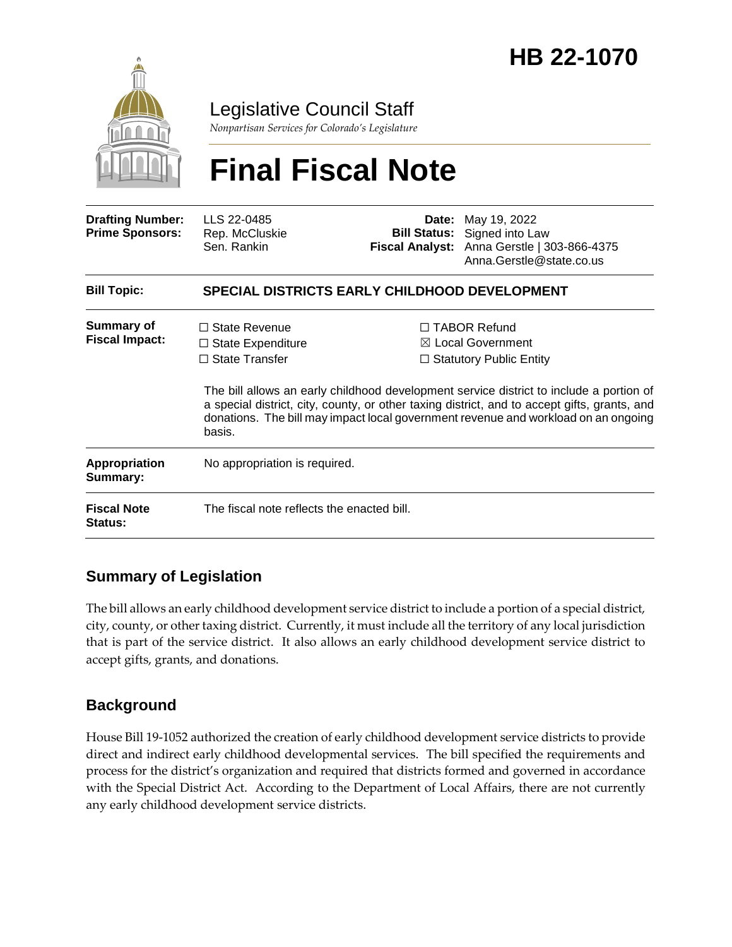

Legislative Council Staff

*Nonpartisan Services for Colorado's Legislature*

# **Final Fiscal Note**

| <b>Drafting Number:</b><br><b>Prime Sponsors:</b> | LLS 22-0485<br>Rep. McCluskie<br>Sen. Rankin                                                                                                                                                                                                                                            | Date:<br><b>Bill Status:</b> | May 19, 2022<br>Signed into Law<br>Fiscal Analyst: Anna Gerstle   303-866-4375<br>Anna.Gerstle@state.co.us |  |
|---------------------------------------------------|-----------------------------------------------------------------------------------------------------------------------------------------------------------------------------------------------------------------------------------------------------------------------------------------|------------------------------|------------------------------------------------------------------------------------------------------------|--|
| <b>Bill Topic:</b>                                | <b>SPECIAL DISTRICTS EARLY CHILDHOOD DEVELOPMENT</b>                                                                                                                                                                                                                                    |                              |                                                                                                            |  |
| <b>Summary of</b><br><b>Fiscal Impact:</b>        | $\Box$ State Revenue<br>$\Box$ State Expenditure<br>$\Box$ State Transfer                                                                                                                                                                                                               |                              | $\Box$ TABOR Refund<br>$\boxtimes$ Local Government<br>$\Box$ Statutory Public Entity                      |  |
|                                                   | The bill allows an early childhood development service district to include a portion of<br>a special district, city, county, or other taxing district, and to accept gifts, grants, and<br>donations. The bill may impact local government revenue and workload on an ongoing<br>basis. |                              |                                                                                                            |  |
| <b>Appropriation</b><br>Summary:                  | No appropriation is required.                                                                                                                                                                                                                                                           |                              |                                                                                                            |  |
| <b>Fiscal Note</b><br>Status:                     | The fiscal note reflects the enacted bill.                                                                                                                                                                                                                                              |                              |                                                                                                            |  |

### **Summary of Legislation**

The bill allows an early childhood development service district to include a portion of a special district, city, county, or other taxing district. Currently, it must include all the territory of any local jurisdiction that is part of the service district. It also allows an early childhood development service district to accept gifts, grants, and donations.

### **Background**

House Bill 19-1052 authorized the creation of early childhood development service districts to provide direct and indirect early childhood developmental services. The bill specified the requirements and process for the district's organization and required that districts formed and governed in accordance with the Special District Act. According to the Department of Local Affairs, there are not currently any early childhood development service districts.